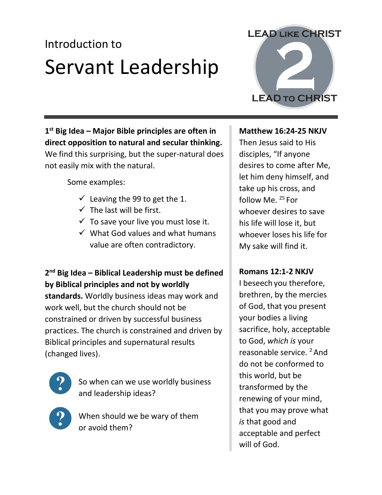## Introduction to Servant Leadership

**1 st Big Idea – Major Bible principles are often in direct opposition to natural and secular thinking.** We find this surprising, but the super-natural does not easily mix with the natural.

Some examples:

- $\checkmark$  Leaving the 99 to get the 1.
- $\checkmark$  The last will be first.
- $\checkmark$  To save your live you must lose it.
- $\checkmark$  What God values and what humans value are often contradictory.

**2 nd Big Idea – Biblical Leadership must be defined by Biblical principles and not by worldly standards.** Worldly business ideas may work and work well, but the church should not be constrained or driven by successful business practices. The church is constrained and driven by Biblical principles and supernatural results (changed lives).



So when can we use worldly business and leadership ideas?



When should we be wary of them or avoid them?

# **LEAD TO CHRIST**

**LEAD LIKE CHRIST** 

#### **Matthew 16:24-25 NKJV**

Then Jesus said to His disciples, "If anyone desires to come after Me, let him deny himself, and take up his cross, and follow Me. <sup>25</sup> For whoever desires to save his life will lose it, but whoever loses his life for My sake will find it.

#### **Romans 12:1-2 NKJV**

I beseech you therefore, brethren, by the mercies of God, that you present your bodies a living sacrifice, holy, acceptable to God, *which is* your reasonable service. <sup>2</sup> And do not be conformed to this world, but be transformed by the renewing of your mind, that you may prove what *is* that good and acceptable and perfect will of God.